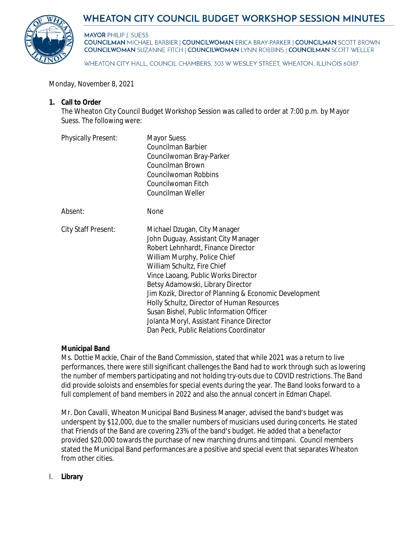



**MAYOR PHILIP J. SUESS COUNCILMAN MICHAEL BARBIER | COUNCILWOMAN ERICA BRAY-PARKER | COUNCILMAN SCOTT BROWN COUNCILWOMAN SUZANNE FITCH | COUNCILWOMAN LYNN ROBBINS | COUNCILMAN SCOTT WELLER** 

WHEATON CITY HALL, COUNCIL CHAMBERS, 303 W WESLEY STREET, WHEATON, ILLINOIS 60187

Monday, November 8, 2021

# **1. Call to Order**

The Wheaton City Council Budget Workshop Session was called to order at 7:00 p.m. by Mayor Suess. The following were:

| <b>Physically Present:</b> | <b>Mayor Suess</b><br>Councilman Barbier<br>Councilwoman Bray-Parker<br>Councilman Brown<br>Councilwoman Robbins<br>Councilwoman Fitch<br>Councilman Weller                                                                                                                                                                                                                                                                                                                                     |
|----------------------------|-------------------------------------------------------------------------------------------------------------------------------------------------------------------------------------------------------------------------------------------------------------------------------------------------------------------------------------------------------------------------------------------------------------------------------------------------------------------------------------------------|
| Absent:                    | None                                                                                                                                                                                                                                                                                                                                                                                                                                                                                            |
| City Staff Present:        | Michael Dzugan, City Manager<br>John Duguay, Assistant City Manager<br>Robert Lehnhardt, Finance Director<br>William Murphy, Police Chief<br>William Schultz, Fire Chief<br>Vince Laoang, Public Works Director<br>Betsy Adamowski, Library Director<br>Jim Kozik, Director of Planning & Economic Development<br>Holly Schultz, Director of Human Resources<br>Susan Bishel, Public Information Officer<br>Jolanta Moryl, Assistant Finance Director<br>Dan Peck, Public Relations Coordinator |

# **Municipal Band**

Ms. Dottie Mackie, Chair of the Band Commission, stated that while 2021 was a return to live performances, there were still significant challenges the Band had to work through such as lowering the number of members participating and not holding try-outs due to COVID restrictions. The Band did provide soloists and ensembles for special events during the year. The Band looks forward to a full complement of band members in 2022 and also the annual concert in Edman Chapel.

Mr. Don Cavalli, Wheaton Municipal Band Business Manager, advised the band's budget was underspent by \$12,000, due to the smaller numbers of musicians used during concerts. He stated that Friends of the Band are covering 23% of the band's budget. He added that a benefactor provided \$20,000 towards the purchase of new marching drums and timpani. Council members stated the Municipal Band performances are a positive and special event that separates Wheaton from other cities.

I. **Library**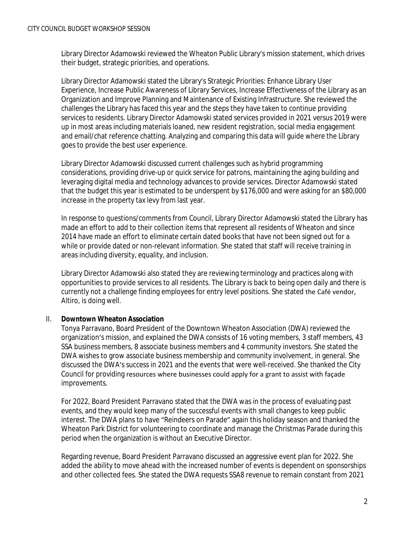Library Director Adamowski reviewed the Wheaton Public Library's mission statement, which drives their budget, strategic priorities, and operations.

Library Director Adamowski stated the Library's Strategic Priorities: Enhance Library User Experience, Increase Public Awareness of Library Services, Increase Effectiveness of the Library as an Organization and Improve Planning and Maintenance of Existing Infrastructure. She reviewed the challenges the Library has faced this year and the steps they have taken to continue providing services to residents. Library Director Adamowski stated services provided in 2021 versus 2019 were up in most areas including materials loaned, new resident registration, social media engagement and email/chat reference chatting. Analyzing and comparing this data will guide where the Library goes to provide the best user experience.

Library Director Adamowski discussed current challenges such as hybrid programming considerations, providing drive-up or quick service for patrons, maintaining the aging building and leveraging digital media and technology advances to provide services. Director Adamowski stated that the budget this year is estimated to be underspent by \$176,000 and were asking for an \$80,000 increase in the property tax levy from last year.

In response to questions/comments from Council, Library Director Adamowski stated the Library has made an effort to add to their collection items that represent all residents of Wheaton and since 2014 have made an effort to eliminate certain dated books that have not been signed out for a while or provide dated or non-relevant information. She stated that staff will receive training in areas including diversity, equality, and inclusion.

Library Director Adamowski also stated they are reviewing terminology and practices along with opportunities to provide services to all residents. The Library is back to being open daily and there is currently not a challenge finding employees for entry level positions. She stated the Café vendor, Altiro, is doing well.

# II. **Downtown Wheaton Association**

Tonya Parravano, Board President of the Downtown Wheaton Association (DWA) reviewed the organization's mission, and explained the DWA consists of 16 voting members, 3 staff members, 43 SSA business members, 8 associate business members and 4 community investors. She stated the DWA wishes to grow associate business membership and community involvement, in general. She discussed the DWA's success in 2021 and the events that were well-received. She thanked the City Council for providing resources where businesses could apply for a grant to assist with façade improvements.

For 2022, Board President Parravano stated that the DWA was in the process of evaluating past events, and they would keep many of the successful events with small changes to keep public interest. The DWA plans to have "Reindeers on Parade" again this holiday season and thanked the Wheaton Park District for volunteering to coordinate and manage the Christmas Parade during this period when the organization is without an Executive Director.

Regarding revenue, Board President Parravano discussed an aggressive event plan for 2022. She added the ability to move ahead with the increased number of events is dependent on sponsorships and other collected fees. She stated the DWA requests SSA8 revenue to remain constant from 2021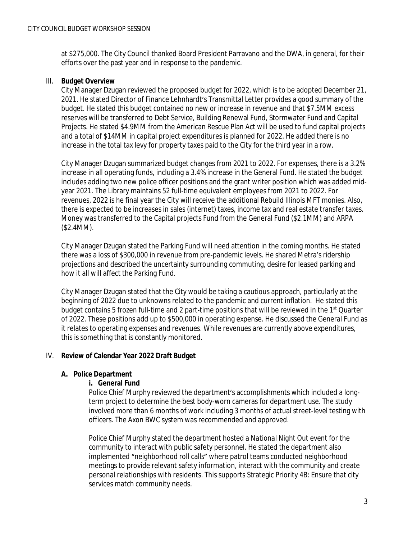at \$275,000. The City Council thanked Board President Parravano and the DWA, in general, for their efforts over the past year and in response to the pandemic.

# III. **Budget Overview**

City Manager Dzugan reviewed the proposed budget for 2022, which is to be adopted December 21, 2021. He stated Director of Finance Lehnhardt's Transmittal Letter provides a good summary of the budget. He stated this budget contained no new or increase in revenue and that \$7.5MM excess reserves will be transferred to Debt Service, Building Renewal Fund, Stormwater Fund and Capital Projects. He stated \$4.9MM from the American Rescue Plan Act will be used to fund capital projects and a total of \$14MM in capital project expenditures is planned for 2022. He added there is no increase in the total tax levy for property taxes paid to the City for the third year in a row.

City Manager Dzugan summarized budget changes from 2021 to 2022. For expenses, there is a 3.2% increase in all operating funds, including a 3.4% increase in the General Fund. He stated the budget includes adding two new police officer positions and the grant writer position which was added midyear 2021. The Library maintains 52 full-time equivalent employees from 2021 to 2022. For revenues, 2022 is he final year the City will receive the additional Rebuild Illinois MFT monies. Also, there is expected to be increases in sales (internet) taxes, income tax and real estate transfer taxes. Money was transferred to the Capital projects Fund from the General Fund (\$2.1MM) and ARPA (\$2.4MM).

City Manager Dzugan stated the Parking Fund will need attention in the coming months. He stated there was a loss of \$300,000 in revenue from pre-pandemic levels. He shared Metra's ridership projections and described the uncertainty surrounding commuting, desire for leased parking and how it all will affect the Parking Fund.

City Manager Dzugan stated that the City would be taking a cautious approach, particularly at the beginning of 2022 due to unknowns related to the pandemic and current inflation. He stated this budget contains 5 frozen full-time and 2 part-time positions that will be reviewed in the 1<sup>st</sup> Quarter of 2022. These positions add up to \$500,000 in operating expense. He discussed the General Fund as it relates to operating expenses and revenues. While revenues are currently above expenditures, this is something that is constantly monitored.

# IV. **Review of Calendar Year 2022 Draft Budget**

# **A. Police Department**

# **i. General Fund**

Police Chief Murphy reviewed the department's accomplishments which included a longterm project to determine the best body-worn cameras for department use. The study involved more than 6 months of work including 3 months of actual street-level testing with officers. The Axon BWC system was recommended and approved.

Police Chief Murphy stated the department hosted a *National Night Out* event for the community to interact with public safety personnel. He stated the department also implemented "neighborhood roll calls" where patrol teams conducted neighborhood meetings to provide relevant safety information, interact with the community and create personal relationships with residents. This supports Strategic Priority 4B: Ensure that city services match community needs.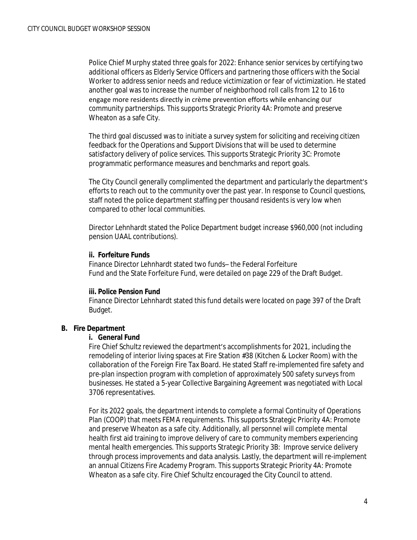Police Chief Murphy stated three goals for 2022: Enhance senior services by certifying two additional officers as Elderly Service Officers and partnering those officers with the Social Worker to address senior needs and reduce victimization or fear of victimization. He stated another goal was to increase the number of neighborhood roll calls from 12 to 16 to engage more residents directly in crème prevention efforts while enhancing our community partnerships. This supports Strategic Priority 4A: Promote and preserve Wheaton as a safe City.

The third goal discussed was to initiate a survey system for soliciting and receiving citizen feedback for the Operations and Support Divisions that will be used to determine satisfactory delivery of police services. This supports Strategic Priority 3C: Promote programmatic performance measures and benchmarks and report goals.

The City Council generally complimented the department and particularly the department's efforts to reach out to the community over the past year. In response to Council questions, staff noted the police department staffing per thousand residents is very low when compared to other local communities.

Director Lehnhardt stated the Police Department budget increase \$960,000 (not including pension UAAL contributions).

#### **ii. Forfeiture Funds**

Finance Director Lehnhardt stated two funds– the Federal Forfeiture Fund and the State Forfeiture Fund, were detailed on page 229 of the Draft Budget.

#### **iii. Police Pension Fund**

Finance Director Lehnhardt stated this fund details were located on page 397 of the Draft Budget.

# **B. Fire Department**

#### **i. General Fund**

Fire Chief Schultz reviewed the department's accomplishments for 2021, including the remodeling of interior living spaces at Fire Station #38 (Kitchen & Locker Room) with the collaboration of the Foreign Fire Tax Board. He stated Staff re-implemented fire safety and pre-plan inspection program with completion of approximately 500 safety surveys from businesses. He stated a 5-year Collective Bargaining Agreement was negotiated with Local 3706 representatives.

For its 2022 goals, the department intends to complete a formal Continuity of Operations Plan (COOP) that meets FEMA requirements. This supports Strategic Priority 4A: Promote and preserve Wheaton as a safe city. Additionally, all personnel will complete mental health first aid training to improve delivery of care to community members experiencing mental health emergencies. This supports Strategic Priority 3B: Improve service delivery through process improvements and data analysis. Lastly, the department will re-implement an annual Citizens Fire Academy Program. This supports Strategic Priority 4A: Promote Wheaton as a safe city. Fire Chief Schultz encouraged the City Council to attend.